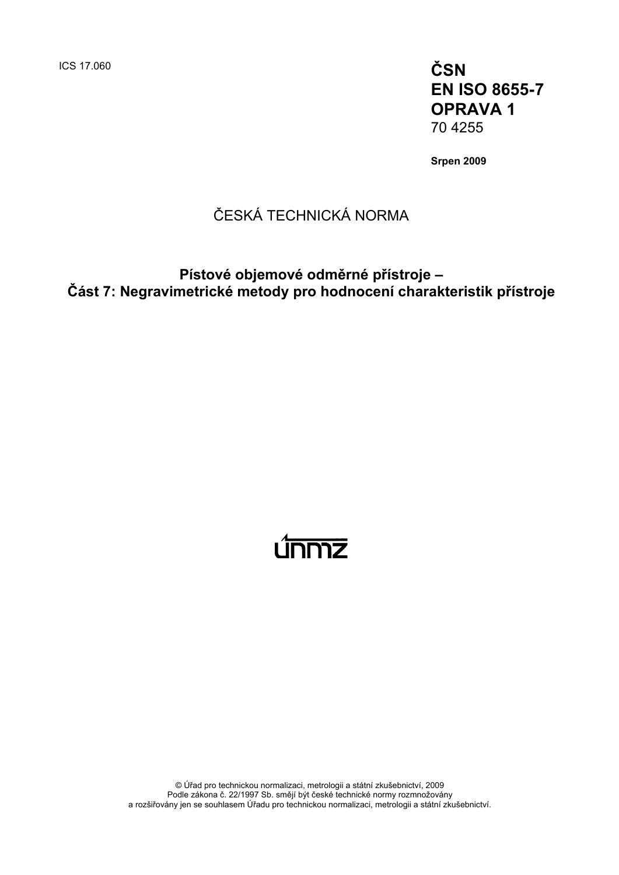ICS 17.060 **ČSN EN ISO 8655-7 OPRAVA 1**  70 4255

**Srpen 2009** 

## ČESKÁ TECHNICKÁ NORMA

**Pístové objemové odměrné přístroje – Část 7: Negravimetrické metody pro hodnocení charakteristik přístroje** 

# <u>únmz</u>

© Úřad pro technickou normalizaci, metrologii a státní zkušebnictví, 2009 Podle zákona č. 22/1997 Sb. smějí být české technické normy rozmnožovány a rozšiřovány jen se souhlasem Úřadu pro technickou normalizaci, metrologii a státní zkušebnictví.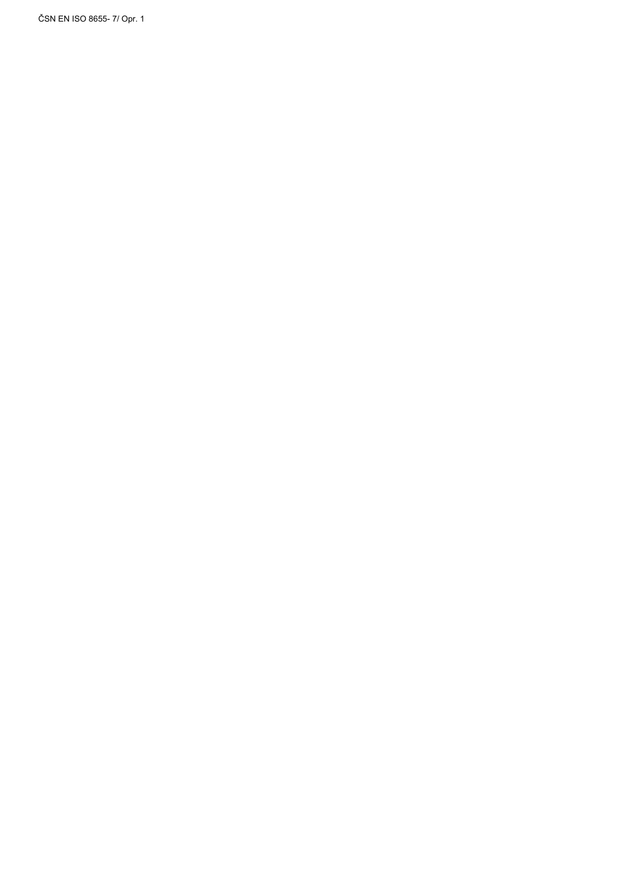ČSN EN ISO 8655- 7/ Opr. 1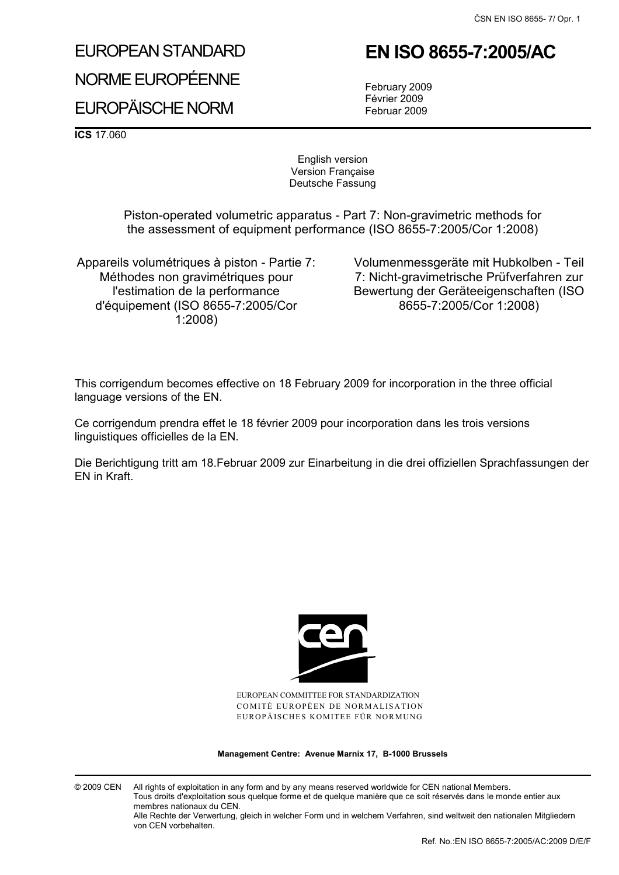### EUROPEAN STANDARD

## NORME EUROPÉENNE

## EUROPÄISCHE NORM

 **EN ISO 8655-7:2005/AC** 

 February 2009 Février 2009 Februar 2009

**ICS** 17.060

English version Version Française Deutsche Fassung

 Piston-operated volumetric apparatus - Part 7: Non-gravimetric methods for the assessment of equipment performance (ISO 8655-7:2005/Cor 1:2008)

Appareils volumétriques à piston - Partie 7: Méthodes non gravimétriques pour l'estimation de la performance d'équipement (ISO 8655-7:2005/Cor 1:2008)

 Volumenmessgeräte mit Hubkolben - Teil 7: Nicht-gravimetrische Prüfverfahren zur Bewertung der Geräteeigenschaften (ISO 8655-7:2005/Cor 1:2008)

This corrigendum becomes effective on 18 February 2009 for incorporation in the three official language versions of the EN.

Ce corrigendum prendra effet le 18 février 2009 pour incorporation dans les trois versions linguistiques officielles de la EN.

Die Berichtigung tritt am 18.Februar 2009 zur Einarbeitung in die drei offiziellen Sprachfassungen der EN in Kraft.



EUROPEAN COMMITTEE FOR STANDARDIZATION COMITÉ EUROPÉEN DE NORMALISATION EUROPÄISCHES KOMITEE FÜR NORMUNG

**Management Centre: Avenue Marnix 17, B-1000 Brussels** 

© 2009 CEN All rights of exploitation in any form and by any means reserved worldwide for CEN national Members. Tous droits d'exploitation sous quelque forme et de quelque manière que ce soit réservés dans le monde entier aux membres nationaux du CEN. Alle Rechte der Verwertung, gleich in welcher Form und in welchem Verfahren, sind weltweit den nationalen Mitgliedern

von CEN vorbehalten.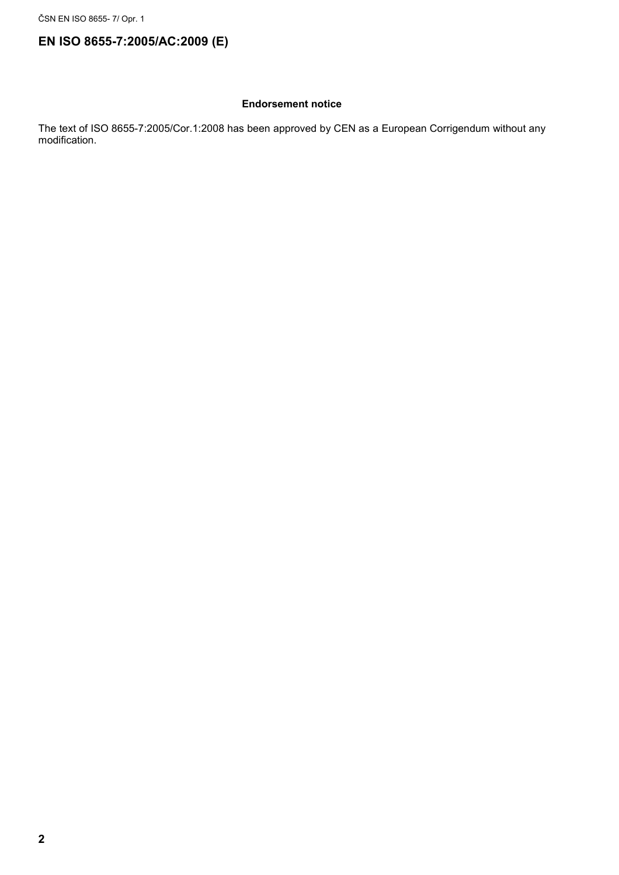ČSN EN ISO 8655- 7/ Opr. 1

#### **EN ISO 8655-7:2005/AC:2009 (E)**

#### **Endorsement notice**

The text of ISO 8655-7:2005/Cor.1:2008 has been approved by CEN as a European Corrigendum without any modification.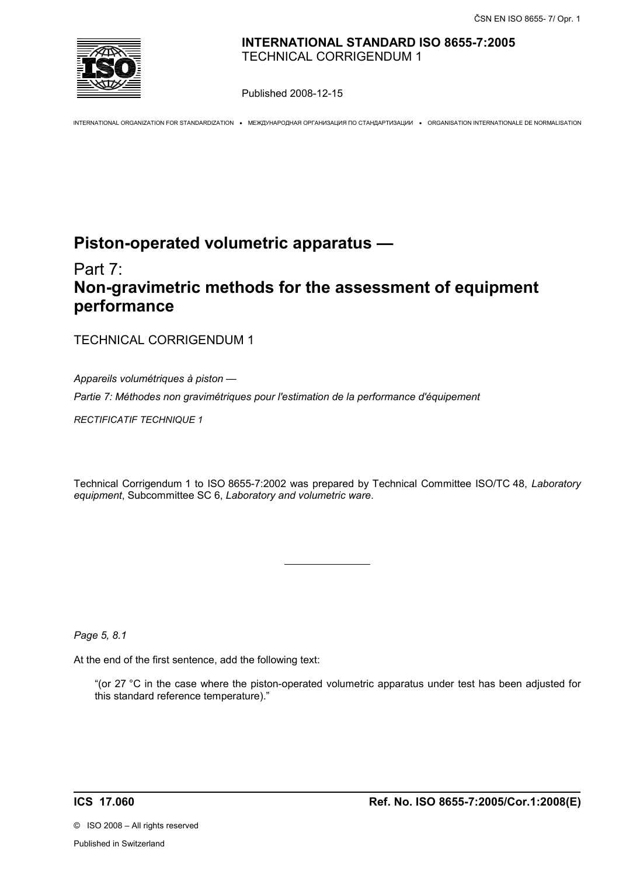

#### **INTERNATIONAL STANDARD ISO 8655-7:2005**  TECHNICAL CORRIGENDUM 1

Published 2008-12-15

INTERNATIONAL ORGANIZATION FOR STANDARDIZATION • МЕЖДУНАРОДНАЯ ОРГАНИЗАЦИЯ ПО СТАНДАРТИЗАЦИИ • ORGANISATION INTERNATIONALE DE NORMALISATION

## **Piston-operated volumetric apparatus —**

## Part 7: **Non-gravimetric methods for the assessment of equipment performance**

TECHNICAL CORRIGENDUM 1

*Appareils volumétriques à piston — Partie 7: Méthodes non gravimétriques pour l'estimation de la performance d'équipement* 

 $\overline{a}$ 

*RECTIFICATIF TECHNIQUE 1*

Technical Corrigendum 1 to ISO 8655-7:2002 was prepared by Technical Committee ISO/TC 48, *Laboratory equipment*, Subcommittee SC 6, *Laboratory and volumetric ware*.

*Page 5, 8.1* 

At the end of the first sentence, add the following text:

"(or 27 °C in the case where the piston-operated volumetric apparatus under test has been adjusted for this standard reference temperature)."

©ISO 2008 – All rights reserved